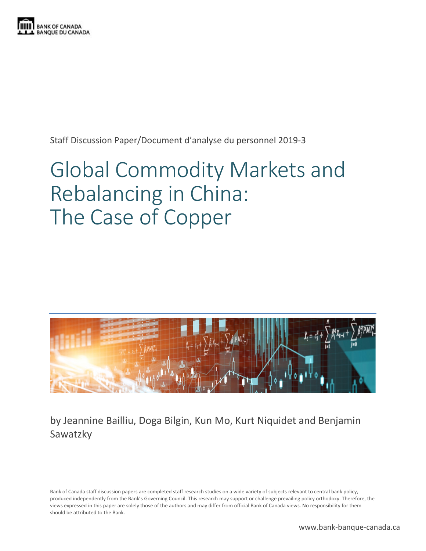

Staff Discussion Paper/Document d'analyse du personnel 2019-3

# Global Commodity Markets and Rebalancing in China: The Case of Copper



by Jeannine Bailliu, Doga Bilgin, Kun Mo, Kurt Niquidet and Benjamin Sawatzky

Bank of Canada staff discussion papers are completed staff research studies on a wide variety of subjects relevant to central bank policy, produced independently from the Bank's Governing Council. This research may support or challenge prevailing policy orthodoxy. Therefore, the views expressed in this paper are solely those of the authors and may differ from official Bank of Canada views. No responsibility for them should be attributed to the Bank.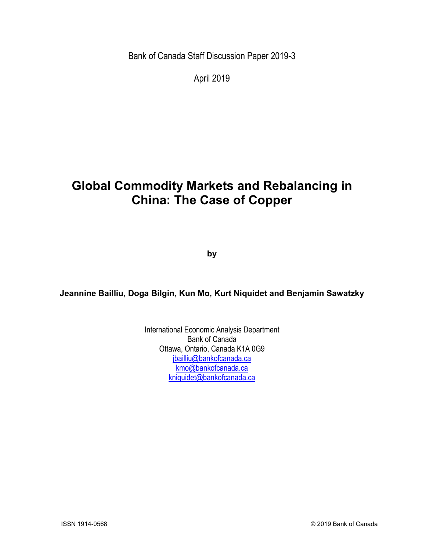Bank of Canada Staff Discussion Paper 2019-3

April 2019

# **Global Commodity Markets and Rebalancing in China: The Case of Copper**

**by**

**Jeannine Bailliu, Doga Bilgin, Kun Mo, Kurt Niquidet and Benjamin Sawatzky**

International Economic Analysis Department Bank of Canada Ottawa, Ontario, Canada K1A 0G9 [jbailliu@bankofcanada.ca](mailto:jbailliu@bankofcanada.ca) [kmo@bankofcanada.ca](mailto:kmo@bankofcanada.ca) [kniquidet@bankofcanada.ca](mailto:kniquidet@bankofcanada.ca)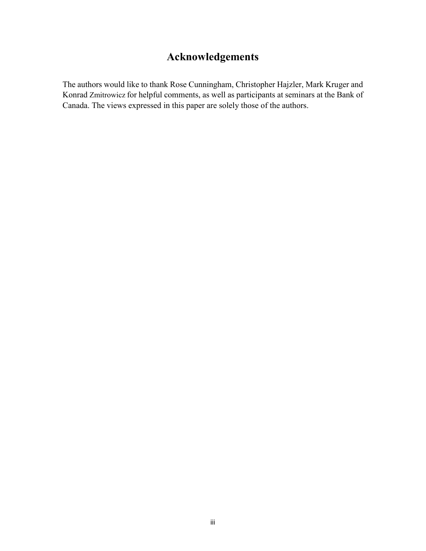# **Acknowledgements**

The authors would like to thank Rose Cunningham, Christopher Hajzler, Mark Kruger and Konrad Zmitrowicz for helpful comments, as well as participants at seminars at the Bank of Canada. The views expressed in this paper are solely those of the authors.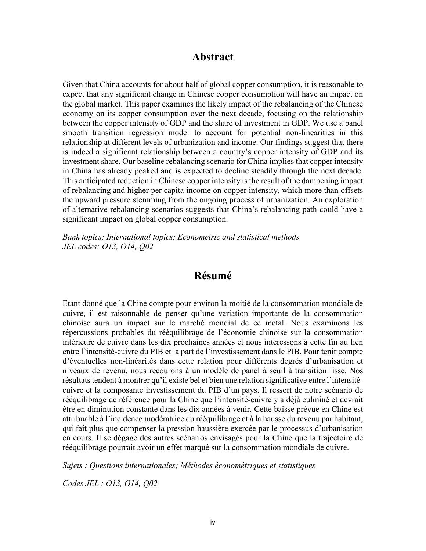### **Abstract**

Given that China accounts for about half of global copper consumption, it is reasonable to expect that any significant change in Chinese copper consumption will have an impact on the global market. This paper examines the likely impact of the rebalancing of the Chinese economy on its copper consumption over the next decade, focusing on the relationship between the copper intensity of GDP and the share of investment in GDP. We use a panel smooth transition regression model to account for potential non-linearities in this relationship at different levels of urbanization and income. Our findings suggest that there is indeed a significant relationship between a country's copper intensity of GDP and its investment share. Our baseline rebalancing scenario for China implies that copper intensity in China has already peaked and is expected to decline steadily through the next decade. This anticipated reduction in Chinese copper intensity is the result of the dampening impact of rebalancing and higher per capita income on copper intensity, which more than offsets the upward pressure stemming from the ongoing process of urbanization. An exploration of alternative rebalancing scenarios suggests that China's rebalancing path could have a significant impact on global copper consumption.

*Bank topics: International topics; Econometric and statistical methods JEL codes: O13, O14, Q02*

### **Résumé**

Étant donné que la Chine compte pour environ la moitié de la consommation mondiale de cuivre, il est raisonnable de penser qu'une variation importante de la consommation chinoise aura un impact sur le marché mondial de ce métal. Nous examinons les répercussions probables du rééquilibrage de l'économie chinoise sur la consommation intérieure de cuivre dans les dix prochaines années et nous intéressons à cette fin au lien entre l'intensité-cuivre du PIB et la part de l'investissement dans le PIB. Pour tenir compte d'éventuelles non-linéarités dans cette relation pour différents degrés d'urbanisation et niveaux de revenu, nous recourons à un modèle de panel à seuil à transition lisse. Nos résultats tendent à montrer qu'il existe bel et bien une relation significative entre l'intensitécuivre et la composante investissement du PIB d'un pays. Il ressort de notre scénario de rééquilibrage de référence pour la Chine que l'intensité-cuivre y a déjà culminé et devrait être en diminution constante dans les dix années à venir. Cette baisse prévue en Chine est attribuable à l'incidence modératrice du rééquilibrage et à la hausse du revenu par habitant, qui fait plus que compenser la pression haussière exercée par le processus d'urbanisation en cours. Il se dégage des autres scénarios envisagés pour la Chine que la trajectoire de rééquilibrage pourrait avoir un effet marqué sur la consommation mondiale de cuivre.

*Sujets : Questions internationales; Méthodes économétriques et statistiques*

*Codes JEL : O13, O14, Q02*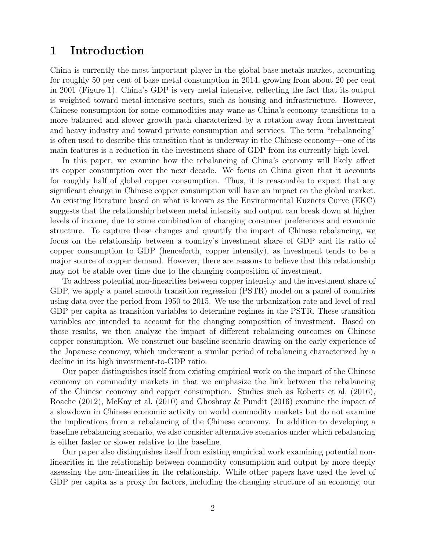### 1 Introduction

China is currently the most important player in the global base metals market, accounting for roughly 50 per cent of base metal consumption in 2014, growing from about 20 per cent in 2001 (Figure 1). China's GDP is very metal intensive, reflecting the fact that its output is weighted toward metal-intensive sectors, such as housing and infrastructure. However, Chinese consumption for some commodities may wane as China's economy transitions to a more balanced and slower growth path characterized by a rotation away from investment and heavy industry and toward private consumption and services. The term "rebalancing" is often used to describe this transition that is underway in the Chinese economy—one of its main features is a reduction in the investment share of GDP from its currently high level.

In this paper, we examine how the rebalancing of China's economy will likely affect its copper consumption over the next decade. We focus on China given that it accounts for roughly half of global copper consumption. Thus, it is reasonable to expect that any significant change in Chinese copper consumption will have an impact on the global market. An existing literature based on what is known as the Environmental Kuznets Curve (EKC) suggests that the relationship between metal intensity and output can break down at higher levels of income, due to some combination of changing consumer preferences and economic structure. To capture these changes and quantify the impact of Chinese rebalancing, we focus on the relationship between a country's investment share of GDP and its ratio of copper consumption to GDP (henceforth, copper intensity), as investment tends to be a major source of copper demand. However, there are reasons to believe that this relationship may not be stable over time due to the changing composition of investment.

To address potential non-linearities between copper intensity and the investment share of GDP, we apply a panel smooth transition regression (PSTR) model on a panel of countries using data over the period from 1950 to 2015. We use the urbanization rate and level of real GDP per capita as transition variables to determine regimes in the PSTR. These transition variables are intended to account for the changing composition of investment. Based on these results, we then analyze the impact of different rebalancing outcomes on Chinese copper consumption. We construct our baseline scenario drawing on the early experience of the Japanese economy, which underwent a similar period of rebalancing characterized by a decline in its high investment-to-GDP ratio.

Our paper distinguishes itself from existing empirical work on the impact of the Chinese economy on commodity markets in that we emphasize the link between the rebalancing of the Chinese economy and copper consumption. Studies such as Roberts et al. (2016), Roache (2012), McKay et al. (2010) and Ghoshray & Pundit (2016) examine the impact of a slowdown in Chinese economic activity on world commodity markets but do not examine the implications from a rebalancing of the Chinese economy. In addition to developing a baseline rebalancing scenario, we also consider alternative scenarios under which rebalancing is either faster or slower relative to the baseline.

Our paper also distinguishes itself from existing empirical work examining potential nonlinearities in the relationship between commodity consumption and output by more deeply assessing the non-linearities in the relationship. While other papers have used the level of GDP per capita as a proxy for factors, including the changing structure of an economy, our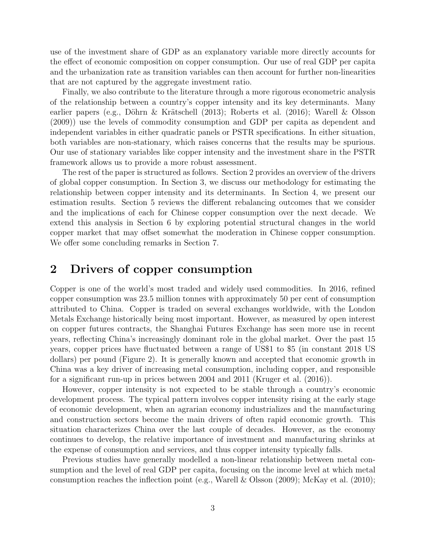use of the investment share of GDP as an explanatory variable more directly accounts for the effect of economic composition on copper consumption. Our use of real GDP per capita and the urbanization rate as transition variables can then account for further non-linearities that are not captured by the aggregate investment ratio.

Finally, we also contribute to the literature through a more rigorous econometric analysis of the relationship between a country's copper intensity and its key determinants. Many earlier papers (e.g., Döhrn & Krätschell (2013); Roberts et al. (2016); Warell & Olsson (2009)) use the levels of commodity consumption and GDP per capita as dependent and independent variables in either quadratic panels or PSTR specifications. In either situation, both variables are non-stationary, which raises concerns that the results may be spurious. Our use of stationary variables like copper intensity and the investment share in the PSTR framework allows us to provide a more robust assessment.

The rest of the paper is structured as follows. Section 2 provides an overview of the drivers of global copper consumption. In Section 3, we discuss our methodology for estimating the relationship between copper intensity and its determinants. In Section 4, we present our estimation results. Section 5 reviews the different rebalancing outcomes that we consider and the implications of each for Chinese copper consumption over the next decade. We extend this analysis in Section 6 by exploring potential structural changes in the world copper market that may offset somewhat the moderation in Chinese copper consumption. We offer some concluding remarks in Section 7.

### 2 Drivers of copper consumption

Copper is one of the world's most traded and widely used commodities. In 2016, refined copper consumption was 23.5 million tonnes with approximately 50 per cent of consumption attributed to China. Copper is traded on several exchanges worldwide, with the London Metals Exchange historically being most important. However, as measured by open interest on copper futures contracts, the Shanghai Futures Exchange has seen more use in recent years, reflecting China's increasingly dominant role in the global market. Over the past 15 years, copper prices have fluctuated between a range of US\$1 to \$5 (in constant 2018 US dollars) per pound (Figure 2). It is generally known and accepted that economic growth in China was a key driver of increasing metal consumption, including copper, and responsible for a significant run-up in prices between 2004 and 2011 (Kruger et al. (2016)).

However, copper intensity is not expected to be stable through a country's economic development process. The typical pattern involves copper intensity rising at the early stage of economic development, when an agrarian economy industrializes and the manufacturing and construction sectors become the main drivers of often rapid economic growth. This situation characterizes China over the last couple of decades. However, as the economy continues to develop, the relative importance of investment and manufacturing shrinks at the expense of consumption and services, and thus copper intensity typically falls.

Previous studies have generally modelled a non-linear relationship between metal consumption and the level of real GDP per capita, focusing on the income level at which metal consumption reaches the inflection point (e.g., Warell & Olsson (2009); McKay et al. (2010);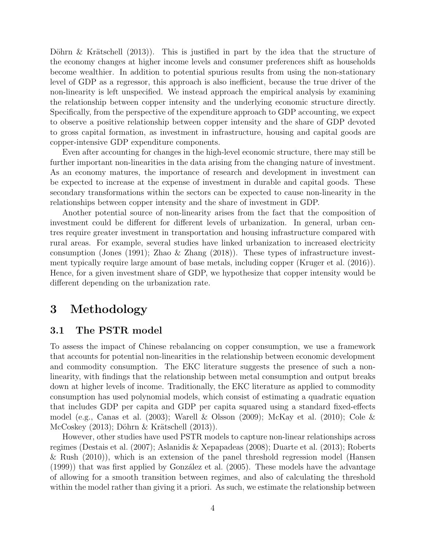Döhrn & Krätschell  $(2013)$ ). This is justified in part by the idea that the structure of the economy changes at higher income levels and consumer preferences shift as households become wealthier. In addition to potential spurious results from using the non-stationary level of GDP as a regressor, this approach is also inefficient, because the true driver of the non-linearity is left unspecified. We instead approach the empirical analysis by examining the relationship between copper intensity and the underlying economic structure directly. Specifically, from the perspective of the expenditure approach to GDP accounting, we expect to observe a positive relationship between copper intensity and the share of GDP devoted to gross capital formation, as investment in infrastructure, housing and capital goods are copper-intensive GDP expenditure components.

Even after accounting for changes in the high-level economic structure, there may still be further important non-linearities in the data arising from the changing nature of investment. As an economy matures, the importance of research and development in investment can be expected to increase at the expense of investment in durable and capital goods. These secondary transformations within the sectors can be expected to cause non-linearity in the relationships between copper intensity and the share of investment in GDP.

Another potential source of non-linearity arises from the fact that the composition of investment could be different for different levels of urbanization. In general, urban centres require greater investment in transportation and housing infrastructure compared with rural areas. For example, several studies have linked urbanization to increased electricity consumption (Jones (1991); Zhao & Zhang (2018)). These types of infrastructure investment typically require large amount of base metals, including copper (Kruger et al. (2016)). Hence, for a given investment share of GDP, we hypothesize that copper intensity would be different depending on the urbanization rate.

### 3 Methodology

#### 3.1 The PSTR model

To assess the impact of Chinese rebalancing on copper consumption, we use a framework that accounts for potential non-linearities in the relationship between economic development and commodity consumption. The EKC literature suggests the presence of such a nonlinearity, with findings that the relationship between metal consumption and output breaks down at higher levels of income. Traditionally, the EKC literature as applied to commodity consumption has used polynomial models, which consist of estimating a quadratic equation that includes GDP per capita and GDP per capita squared using a standard fixed-effects model (e.g., Canas et al. (2003); Warell & Olsson (2009); McKay et al. (2010); Cole & McCoskey  $(2013)$ ; Döhrn & Krätschell  $(2013)$ ).

However, other studies have used PSTR models to capture non-linear relationships across regimes (Destais et al. (2007); Aslanidis & Xepapadeas (2008); Duarte et al. (2013); Roberts & Rush (2010)), which is an extension of the panel threshold regression model (Hansen  $(1999)$ ) that was first applied by González et al.  $(2005)$ . These models have the advantage of allowing for a smooth transition between regimes, and also of calculating the threshold within the model rather than giving it a priori. As such, we estimate the relationship between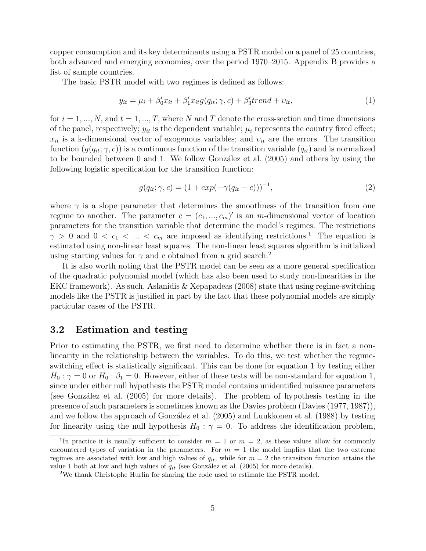copper consumption and its key determinants using a PSTR model on a panel of 25 countries, both advanced and emerging economies, over the period 1970–2015. Appendix B provides a list of sample countries.

The basic PSTR model with two regimes is defined as follows:

$$
y_{it} = \mu_i + \beta_0' x_{it} + \beta_1' x_{it} g(q_{it}; \gamma, c) + \beta_3' trend + v_{it}, \qquad (1)
$$

for  $i = 1, ..., N$ , and  $t = 1, ..., T$ , where N and T denote the cross-section and time dimensions of the panel, respectively;  $y_{it}$  is the dependent variable;  $\mu_i$  represents the country fixed effect;  $x_{it}$  is a k-dimensional vector of exogenous variables; and  $v_{it}$  are the errors. The transition function  $(g(q_{it}; \gamma, c))$  is a continuous function of the transition variable  $(q_{it})$  and is normalized to be bounded between 0 and 1. We follow González et al. (2005) and others by using the following logistic specification for the transition function:

$$
g(q_{it}; \gamma, c) = (1 + exp(-\gamma(q_{it} - c)))^{-1}, \qquad (2)
$$

where  $\gamma$  is a slope parameter that determines the smoothness of the transition from one regime to another. The parameter  $c = (c_1, ..., c_m)'$  is an m-dimensional vector of location parameters for the transition variable that determine the model's regimes. The restrictions  $\gamma > 0$  and  $0 < c_1 < \ldots < c_m$  are imposed as identifying restrictions.<sup>1</sup> The equation is estimated using non-linear least squares. The non-linear least squares algorithm is initialized using starting values for  $\gamma$  and c obtained from a grid search.<sup>2</sup>

It is also worth noting that the PSTR model can be seen as a more general specification of the quadratic polynomial model (which has also been used to study non-linearities in the EKC framework). As such, Aslanidis & Xepapadeas (2008) state that using regime-switching models like the PSTR is justified in part by the fact that these polynomial models are simply particular cases of the PSTR.

#### 3.2 Estimation and testing

Prior to estimating the PSTR, we first need to determine whether there is in fact a nonlinearity in the relationship between the variables. To do this, we test whether the regimeswitching effect is statistically significant. This can be done for equation 1 by testing either  $H_0$ :  $\gamma = 0$  or  $H_0$ :  $\beta_1 = 0$ . However, either of these tests will be non-standard for equation 1, since under either null hypothesis the PSTR model contains unidentified nuisance parameters (see González et al.  $(2005)$  for more details). The problem of hypothesis testing in the presence of such parameters is sometimes known as the Davies problem (Davies (1977, 1987)), and we follow the approach of González et al. (2005) and Luukkonen et al. (1988) by testing for linearity using the null hypothesis  $H_0$ :  $\gamma = 0$ . To address the identification problem,

<sup>&</sup>lt;sup>1</sup>In practice it is usually sufficient to consider  $m = 1$  or  $m = 2$ , as these values allow for commonly encountered types of variation in the parameters. For  $m = 1$  the model implies that the two extreme regimes are associated with low and high values of  $q_{it}$ , while for  $m = 2$  the transition function attains the value 1 both at low and high values of  $q_{it}$  (see González et al. (2005) for more details).

<sup>2</sup>We thank Christophe Hurlin for sharing the code used to estimate the PSTR model.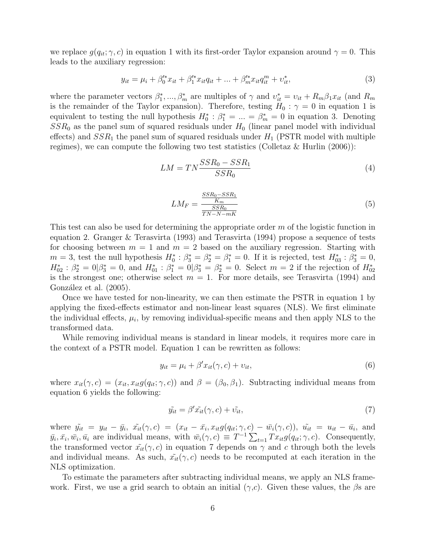we replace  $g(q_{it}; \gamma, c)$  in equation 1 with its first-order Taylor expansion around  $\gamma = 0$ . This leads to the auxiliary regression:

$$
y_{it} = \mu_i + \beta_0'^* x_{it} + \beta_1'^* x_{it} q_{it} + \dots + \beta_m'^* x_{it} q_{it}^m + v_{it}^*,
$$
\n(3)

where the parameter vectors  $\beta_1^*,...,\beta_m^*$  are multiples of  $\gamma$  and  $v_{it}^* = v_{it} + R_m \beta_1 x_{it}$  (and  $R_m$ ) is the remainder of the Taylor expansion). Therefore, testing  $H_0$ :  $\gamma = 0$  in equation 1 is equivalent to testing the null hypothesis  $H_0^* : \beta_1^* = ... = \beta_m^* = 0$  in equation 3. Denoting  $SSR_0$  as the panel sum of squared residuals under  $H_0$  (linear panel model with individual effects) and  $SSR_1$  the panel sum of squared residuals under  $H_1$  (PSTR model with multiple regimes), we can compute the following two test statistics (Colletaz  $\&$  Hurlin (2006)):

$$
LM = TN \frac{SSR_0 - SSR_1}{SSR_0} \tag{4}
$$

$$
LM_F = \frac{\frac{SSR_0 - SSR_1}{K_m}}{\frac{SSR_0}{TN - N - mK}}
$$
\n
$$
\tag{5}
$$

This test can also be used for determining the appropriate order m of the logistic function in equation 2. Granger & Terasvirta (1993) and Terasvirta (1994) propose a sequence of tests for choosing between  $m = 1$  and  $m = 2$  based on the auxiliary regression. Starting with  $m=3$ , test the null hypothesis  $H_0^*$ :  $\beta_3^* = \beta_2^* = \beta_1^* = 0$ . If it is rejected, test  $H_{03}^*$ :  $\beta_3^* = 0$ ,  $H_{02}^*: \beta_2^* = 0 | \beta_3^* = 0, \text{ and } H_{01}^*: \beta_1^* = 0 | \beta_3^* = \beta_2^* = 0. \text{ Select } m = 2 \text{ if the rejection of } H_{02}^*$ is the strongest one; otherwise select  $m = 1$ . For more details, see Terasvirta (1994) and González et al. (2005).

Once we have tested for non-linearity, we can then estimate the PSTR in equation 1 by applying the fixed-effects estimator and non-linear least squares (NLS). We first eliminate the individual effects,  $\mu_i$ , by removing individual-specific means and then apply NLS to the transformed data.

While removing individual means is standard in linear models, it requires more care in the context of a PSTR model. Equation 1 can be rewritten as follows:

$$
y_{it} = \mu_i + \beta' x_{it}(\gamma, c) + v_{it}, \qquad (6)
$$

where  $x_{it}(\gamma, c) = (x_{it}, x_{it}g(q_{it}; \gamma, c))$  and  $\beta = (\beta_0, \beta_1)$ . Subtracting individual means from equation 6 yields the following:

$$
\tilde{y}_{it} = \beta' \tilde{x}_{it}(\gamma, c) + \tilde{v}_{it},\tag{7}
$$

where  $\tilde{y}_{it} = y_{it} - \bar{y}_i$ ,  $\tilde{x}_{it}(\gamma, c) = (x_{it} - \bar{x}_i, x_{it}g(q_{it}; \gamma, c) - \bar{w}_i(\gamma, c))$ ,  $\tilde{u}_{it} = u_{it} - \bar{u}_i$ , and  $\bar{y}_i, \bar{x}_i, \bar{w}_i, \bar{u}_i$  are individual means, with  $\bar{w}_i(\gamma, c) \equiv T^{-1} \sum_{t=1} T x_{it} g(q_{it}; \gamma, c)$ . Consequently, the transformed vector  $\tilde{x}_{it}(\gamma, c)$  in equation 7 depends on  $\gamma$  and c through both the levels and individual means. As such,  $\tilde{x}_{it}(\gamma, c)$  needs to be recomputed at each iteration in the NLS optimization.

To estimate the parameters after subtracting individual means, we apply an NLS framework. First, we use a grid search to obtain an initial  $(\gamma,c)$ . Given these values, the  $\beta s$  are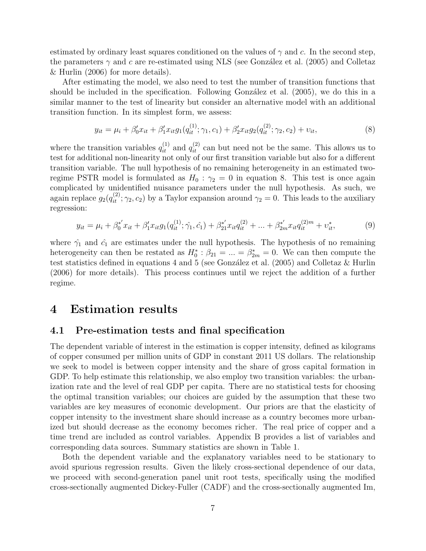estimated by ordinary least squares conditioned on the values of  $\gamma$  and c. In the second step, the parameters  $\gamma$  and c are re-estimated using NLS (see González et al. (2005) and Colletaz & Hurlin (2006) for more details).

After estimating the model, we also need to test the number of transition functions that should be included in the specification. Following González et al.  $(2005)$ , we do this in a similar manner to the test of linearity but consider an alternative model with an additional transition function. In its simplest form, we assess:

$$
y_{it} = \mu_i + \beta'_0 x_{it} + \beta'_1 x_{it} g_1(q_{it}^{(1)}; \gamma_1, c_1) + \beta'_2 x_{it} g_2(q_{it}^{(2)}; \gamma_2, c_2) + \nu_{it},
$$
\n(8)

where the transition variables  $q_{it}^{(1)}$  and  $q_{it}^{(2)}$  can but need not be the same. This allows us to test for additional non-linearity not only of our first transition variable but also for a different transition variable. The null hypothesis of no remaining heterogeneity in an estimated tworegime PSTR model is formulated as  $H_0$ :  $\gamma_2 = 0$  in equation 8. This test is once again complicated by unidentified nuisance parameters under the null hypothesis. As such, we again replace  $g_2(q_{it}^{(2)}; \gamma_2, c_2)$  by a Taylor expansion around  $\gamma_2 = 0$ . This leads to the auxiliary regression:

$$
y_{it} = \mu_i + \beta_0^{*'} x_{it} + \beta_1' x_{it} g_1(q_{it}^{(1)}; \hat{\gamma}_1, \hat{c}_1) + \beta_2^{*'} x_{it} q_{it}^{(2)} + \dots + \beta_{2m}^{*'} x_{it} q_{it}^{(2)m} + v_{it}^*,
$$
(9)

where  $\hat{\gamma}_1$  and  $\hat{c}_1$  are estimates under the null hypothesis. The hypothesis of no remaining heterogeneity can then be restated as  $H_0^*$ :  $\beta_{21} = ... = \beta_{2m}^* = 0$ . We can then compute the test statistics defined in equations 4 and 5 (see González et al.  $(2005)$  and Colletaz & Hurlin (2006) for more details). This process continues until we reject the addition of a further regime.

### 4 Estimation results

#### 4.1 Pre-estimation tests and final specification

The dependent variable of interest in the estimation is copper intensity, defined as kilograms of copper consumed per million units of GDP in constant 2011 US dollars. The relationship we seek to model is between copper intensity and the share of gross capital formation in GDP. To help estimate this relationship, we also employ two transition variables: the urbanization rate and the level of real GDP per capita. There are no statistical tests for choosing the optimal transition variables; our choices are guided by the assumption that these two variables are key measures of economic development. Our priors are that the elasticity of copper intensity to the investment share should increase as a country becomes more urbanized but should decrease as the economy becomes richer. The real price of copper and a time trend are included as control variables. Appendix B provides a list of variables and corresponding data sources. Summary statistics are shown in Table 1.

Both the dependent variable and the explanatory variables need to be stationary to avoid spurious regression results. Given the likely cross-sectional dependence of our data, we proceed with second-generation panel unit root tests, specifically using the modified cross-sectionally augmented Dickey-Fuller (CADF) and the cross-sectionally augmented Im,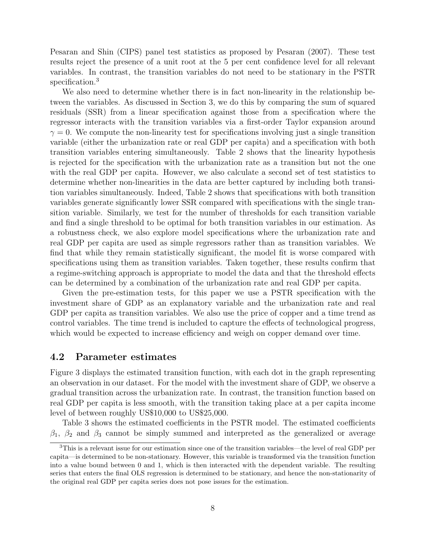Pesaran and Shin (CIPS) panel test statistics as proposed by Pesaran (2007). These test results reject the presence of a unit root at the 5 per cent confidence level for all relevant variables. In contrast, the transition variables do not need to be stationary in the PSTR specification.<sup>3</sup>

We also need to determine whether there is in fact non-linearity in the relationship between the variables. As discussed in Section 3, we do this by comparing the sum of squared residuals (SSR) from a linear specification against those from a specification where the regressor interacts with the transition variables via a first-order Taylor expansion around  $\gamma = 0$ . We compute the non-linearity test for specifications involving just a single transition variable (either the urbanization rate or real GDP per capita) and a specification with both transition variables entering simultaneously. Table 2 shows that the linearity hypothesis is rejected for the specification with the urbanization rate as a transition but not the one with the real GDP per capita. However, we also calculate a second set of test statistics to determine whether non-linearities in the data are better captured by including both transition variables simultaneously. Indeed, Table 2 shows that specifications with both transition variables generate significantly lower SSR compared with specifications with the single transition variable. Similarly, we test for the number of thresholds for each transition variable and find a single threshold to be optimal for both transition variables in our estimation. As a robustness check, we also explore model specifications where the urbanization rate and real GDP per capita are used as simple regressors rather than as transition variables. We find that while they remain statistically significant, the model fit is worse compared with specifications using them as transition variables. Taken together, these results confirm that a regime-switching approach is appropriate to model the data and that the threshold effects can be determined by a combination of the urbanization rate and real GDP per capita.

Given the pre-estimation tests, for this paper we use a PSTR specification with the investment share of GDP as an explanatory variable and the urbanization rate and real GDP per capita as transition variables. We also use the price of copper and a time trend as control variables. The time trend is included to capture the effects of technological progress, which would be expected to increase efficiency and weigh on copper demand over time.

#### 4.2 Parameter estimates

Figure 3 displays the estimated transition function, with each dot in the graph representing an observation in our dataset. For the model with the investment share of GDP, we observe a gradual transition across the urbanization rate. In contrast, the transition function based on real GDP per capita is less smooth, with the transition taking place at a per capita income level of between roughly US\$10,000 to US\$25,000.

Table 3 shows the estimated coefficients in the PSTR model. The estimated coefficients  $\beta_1$ ,  $\beta_2$  and  $\beta_3$  cannot be simply summed and interpreted as the generalized or average

<sup>3</sup>This is a relevant issue for our estimation since one of the transition variables—the level of real GDP per capita—is determined to be non-stationary. However, this variable is transformed via the transition function into a value bound between 0 and 1, which is then interacted with the dependent variable. The resulting series that enters the final OLS regression is determined to be stationary, and hence the non-stationarity of the original real GDP per capita series does not pose issues for the estimation.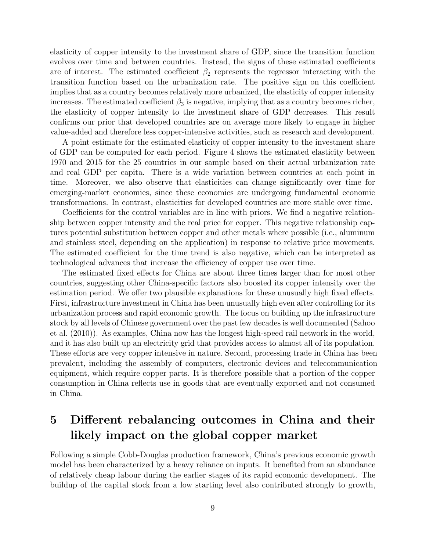elasticity of copper intensity to the investment share of GDP, since the transition function evolves over time and between countries. Instead, the signs of these estimated coefficients are of interest. The estimated coefficient  $\beta_2$  represents the regressor interacting with the transition function based on the urbanization rate. The positive sign on this coefficient implies that as a country becomes relatively more urbanized, the elasticity of copper intensity increases. The estimated coefficient  $\beta_3$  is negative, implying that as a country becomes richer, the elasticity of copper intensity to the investment share of GDP decreases. This result confirms our prior that developed countries are on average more likely to engage in higher value-added and therefore less copper-intensive activities, such as research and development.

A point estimate for the estimated elasticity of copper intensity to the investment share of GDP can be computed for each period. Figure 4 shows the estimated elasticity between 1970 and 2015 for the 25 countries in our sample based on their actual urbanization rate and real GDP per capita. There is a wide variation between countries at each point in time. Moreover, we also observe that elasticities can change significantly over time for emerging-market economies, since these economies are undergoing fundamental economic transformations. In contrast, elasticities for developed countries are more stable over time.

Coefficients for the control variables are in line with priors. We find a negative relationship between copper intensity and the real price for copper. This negative relationship captures potential substitution between copper and other metals where possible (i.e., aluminum and stainless steel, depending on the application) in response to relative price movements. The estimated coefficient for the time trend is also negative, which can be interpreted as technological advances that increase the efficiency of copper use over time.

The estimated fixed effects for China are about three times larger than for most other countries, suggesting other China-specific factors also boosted its copper intensity over the estimation period. We offer two plausible explanations for these unusually high fixed effects. First, infrastructure investment in China has been unusually high even after controlling for its urbanization process and rapid economic growth. The focus on building up the infrastructure stock by all levels of Chinese government over the past few decades is well documented (Sahoo et al. (2010)). As examples, China now has the longest high-speed rail network in the world, and it has also built up an electricity grid that provides access to almost all of its population. These efforts are very copper intensive in nature. Second, processing trade in China has been prevalent, including the assembly of computers, electronic devices and telecommunication equipment, which require copper parts. It is therefore possible that a portion of the copper consumption in China reflects use in goods that are eventually exported and not consumed in China.

# 5 Different rebalancing outcomes in China and their likely impact on the global copper market

Following a simple Cobb-Douglas production framework, China's previous economic growth model has been characterized by a heavy reliance on inputs. It benefited from an abundance of relatively cheap labour during the earlier stages of its rapid economic development. The buildup of the capital stock from a low starting level also contributed strongly to growth,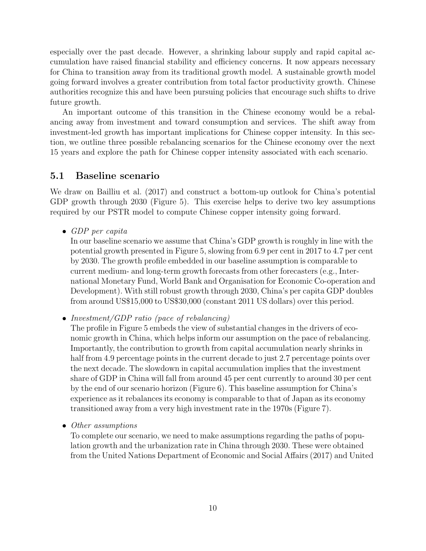especially over the past decade. However, a shrinking labour supply and rapid capital accumulation have raised financial stability and efficiency concerns. It now appears necessary for China to transition away from its traditional growth model. A sustainable growth model going forward involves a greater contribution from total factor productivity growth. Chinese authorities recognize this and have been pursuing policies that encourage such shifts to drive future growth.

An important outcome of this transition in the Chinese economy would be a rebalancing away from investment and toward consumption and services. The shift away from investment-led growth has important implications for Chinese copper intensity. In this section, we outline three possible rebalancing scenarios for the Chinese economy over the next 15 years and explore the path for Chinese copper intensity associated with each scenario.

### 5.1 Baseline scenario

We draw on Bailliu et al. (2017) and construct a bottom-up outlook for China's potential GDP growth through 2030 (Figure 5). This exercise helps to derive two key assumptions required by our PSTR model to compute Chinese copper intensity going forward.

• GDP per capita

In our baseline scenario we assume that China's GDP growth is roughly in line with the potential growth presented in Figure 5, slowing from 6.9 per cent in 2017 to 4.7 per cent by 2030. The growth profile embedded in our baseline assumption is comparable to current medium- and long-term growth forecasts from other forecasters (e.g., International Monetary Fund, World Bank and Organisation for Economic Co-operation and Development). With still robust growth through 2030, China's per capita GDP doubles from around US\$15,000 to US\$30,000 (constant 2011 US dollars) over this period.

• Investment/GDP ratio (pace of rebalancing)

The profile in Figure 5 embeds the view of substantial changes in the drivers of economic growth in China, which helps inform our assumption on the pace of rebalancing. Importantly, the contribution to growth from capital accumulation nearly shrinks in half from 4.9 percentage points in the current decade to just 2.7 percentage points over the next decade. The slowdown in capital accumulation implies that the investment share of GDP in China will fall from around 45 per cent currently to around 30 per cent by the end of our scenario horizon (Figure 6). This baseline assumption for China's experience as it rebalances its economy is comparable to that of Japan as its economy transitioned away from a very high investment rate in the 1970s (Figure 7).

• Other assumptions

To complete our scenario, we need to make assumptions regarding the paths of population growth and the urbanization rate in China through 2030. These were obtained from the United Nations Department of Economic and Social Affairs (2017) and United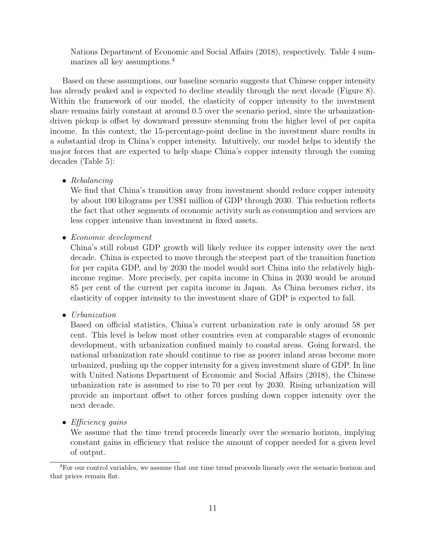Nations Department of Economic and Social Affairs (2018), respectively. Table 4 summarizes all key assumptions.<sup>4</sup>

Based on these assumptions, our baseline scenario suggests that Chinese copper intensity has already peaked and is expected to decline steadily through the next decade (Figure 8). Within the framework of our model, the elasticity of copper intensity to the investment share remains fairly constant at around 0.5 over the scenario period, since the urbanizationdriven pickup is offset by downward pressure stemming from the higher level of per capita income. In this context, the 15-percentage-point decline in the investment share results in a substantial drop in China's copper intensity. Intuitively, our model helps to identify the major forces that are expected to help shape China's copper intensity through the coming decades (Table 5):

• Rebalancing

We find that China's transition away from investment should reduce copper intensity by about 100 kilograms per US\$1 million of GDP through 2030. This reduction reflects the fact that other segments of economic activity such as consumption and services are less copper intensive than investment in fixed assets.

• Economic development

China's still robust GDP growth will likely reduce its copper intensity over the next decade. China is expected to move through the steepest part of the transition function for per capita GDP, and by 2030 the model would sort China into the relatively highincome regime. More precisely, per capita income in China in 2030 would be around 85 per cent of the current per capita income in Japan. As China becomes richer, its elasticity of copper intensity to the investment share of GDP is expected to fall.

• Urbanization

Based on official statistics, China's current urbanization rate is only around 58 per cent. This level is below most other countries even at comparable stages of economic development, with urbanization confined mainly to coastal areas. Going forward, the national urbanization rate should continue to rise as poorer inland areas become more urbanized, pushing up the copper intensity for a given investment share of GDP. In line with United Nations Department of Economic and Social Affairs (2018), the Chinese urbanization rate is assumed to rise to 70 per cent by 2030. Rising urbanization will provide an important offset to other forces pushing down copper intensity over the next decade.

• Efficiency gains

We assume that the time trend proceeds linearly over the scenario horizon, implying constant gains in efficiency that reduce the amount of copper needed for a given level of output.

<sup>&</sup>lt;sup>4</sup>For our control variables, we assume that our time trend proceeds linearly over the scenario horizon and that prices remain flat.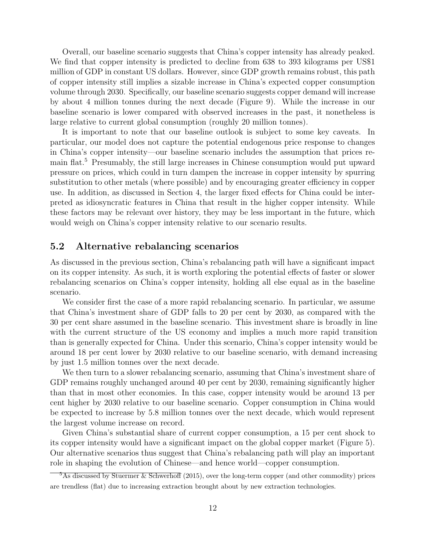Overall, our baseline scenario suggests that China's copper intensity has already peaked. We find that copper intensity is predicted to decline from 638 to 393 kilograms per US\$1 million of GDP in constant US dollars. However, since GDP growth remains robust, this path of copper intensity still implies a sizable increase in China's expected copper consumption volume through 2030. Specifically, our baseline scenario suggests copper demand will increase by about 4 million tonnes during the next decade (Figure 9). While the increase in our baseline scenario is lower compared with observed increases in the past, it nonetheless is large relative to current global consumption (roughly 20 million tonnes).

It is important to note that our baseline outlook is subject to some key caveats. In particular, our model does not capture the potential endogenous price response to changes in China's copper intensity—our baseline scenario includes the assumption that prices remain flat.<sup>5</sup> Presumably, the still large increases in Chinese consumption would put upward pressure on prices, which could in turn dampen the increase in copper intensity by spurring substitution to other metals (where possible) and by encouraging greater efficiency in copper use. In addition, as discussed in Section 4, the larger fixed effects for China could be interpreted as idiosyncratic features in China that result in the higher copper intensity. While these factors may be relevant over history, they may be less important in the future, which would weigh on China's copper intensity relative to our scenario results.

#### 5.2 Alternative rebalancing scenarios

As discussed in the previous section, China's rebalancing path will have a significant impact on its copper intensity. As such, it is worth exploring the potential effects of faster or slower rebalancing scenarios on China's copper intensity, holding all else equal as in the baseline scenario.

We consider first the case of a more rapid rebalancing scenario. In particular, we assume that China's investment share of GDP falls to 20 per cent by 2030, as compared with the 30 per cent share assumed in the baseline scenario. This investment share is broadly in line with the current structure of the US economy and implies a much more rapid transition than is generally expected for China. Under this scenario, China's copper intensity would be around 18 per cent lower by 2030 relative to our baseline scenario, with demand increasing by just 1.5 million tonnes over the next decade.

We then turn to a slower rebalancing scenario, assuming that China's investment share of GDP remains roughly unchanged around 40 per cent by 2030, remaining significantly higher than that in most other economies. In this case, copper intensity would be around 13 per cent higher by 2030 relative to our baseline scenario. Copper consumption in China would be expected to increase by 5.8 million tonnes over the next decade, which would represent the largest volume increase on record.

Given China's substantial share of current copper consumption, a 15 per cent shock to its copper intensity would have a significant impact on the global copper market (Figure 5). Our alternative scenarios thus suggest that China's rebalancing path will play an important role in shaping the evolution of Chinese—and hence world—copper consumption.

<sup>&</sup>lt;sup>5</sup>As discussed by Stuermer & Schwerhoff (2015), over the long-term copper (and other commodity) prices are trendless (flat) due to increasing extraction brought about by new extraction technologies.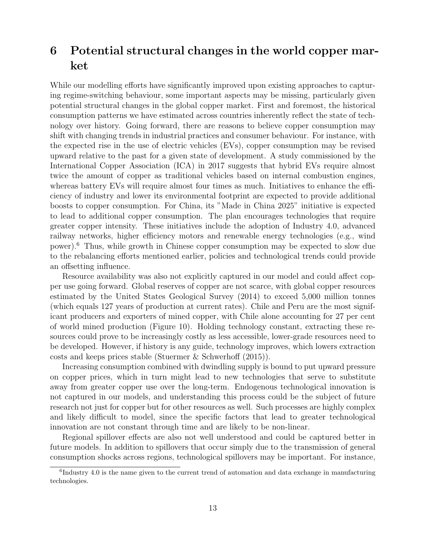# 6 Potential structural changes in the world copper market

While our modelling efforts have significantly improved upon existing approaches to capturing regime-switching behaviour, some important aspects may be missing, particularly given potential structural changes in the global copper market. First and foremost, the historical consumption patterns we have estimated across countries inherently reflect the state of technology over history. Going forward, there are reasons to believe copper consumption may shift with changing trends in industrial practices and consumer behaviour. For instance, with the expected rise in the use of electric vehicles (EVs), copper consumption may be revised upward relative to the past for a given state of development. A study commissioned by the International Copper Association (ICA) in 2017 suggests that hybrid EVs require almost twice the amount of copper as traditional vehicles based on internal combustion engines, whereas battery EVs will require almost four times as much. Initiatives to enhance the efficiency of industry and lower its environmental footprint are expected to provide additional boosts to copper consumption. For China, its "Made in China 2025" initiative is expected to lead to additional copper consumption. The plan encourages technologies that require greater copper intensity. These initiatives include the adoption of Industry 4.0, advanced railway networks, higher efficiency motors and renewable energy technologies (e.g., wind power).<sup>6</sup> Thus, while growth in Chinese copper consumption may be expected to slow due to the rebalancing efforts mentioned earlier, policies and technological trends could provide an offsetting influence.

Resource availability was also not explicitly captured in our model and could affect copper use going forward. Global reserves of copper are not scarce, with global copper resources estimated by the United States Geological Survey (2014) to exceed 5,000 million tonnes (which equals 127 years of production at current rates). Chile and Peru are the most significant producers and exporters of mined copper, with Chile alone accounting for 27 per cent of world mined production (Figure 10). Holding technology constant, extracting these resources could prove to be increasingly costly as less accessible, lower-grade resources need to be developed. However, if history is any guide, technology improves, which lowers extraction costs and keeps prices stable (Stuermer & Schwerhoff (2015)).

Increasing consumption combined with dwindling supply is bound to put upward pressure on copper prices, which in turn might lead to new technologies that serve to substitute away from greater copper use over the long-term. Endogenous technological innovation is not captured in our models, and understanding this process could be the subject of future research not just for copper but for other resources as well. Such processes are highly complex and likely difficult to model, since the specific factors that lead to greater technological innovation are not constant through time and are likely to be non-linear.

Regional spillover effects are also not well understood and could be captured better in future models. In addition to spillovers that occur simply due to the transmission of general consumption shocks across regions, technological spillovers may be important. For instance,

<sup>&</sup>lt;sup>6</sup>Industry 4.0 is the name given to the current trend of automation and data exchange in manufacturing technologies.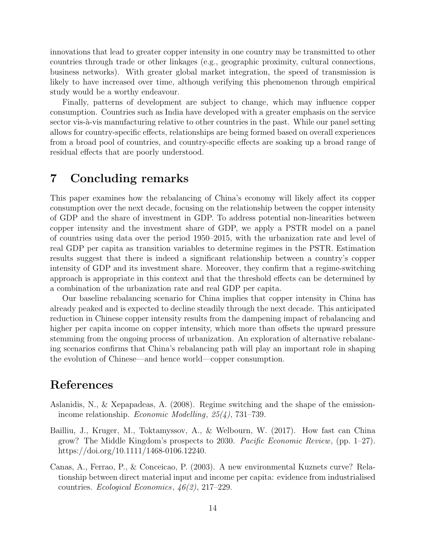innovations that lead to greater copper intensity in one country may be transmitted to other countries through trade or other linkages (e.g., geographic proximity, cultural connections, business networks). With greater global market integration, the speed of transmission is likely to have increased over time, although verifying this phenomenon through empirical study would be a worthy endeavour.

Finally, patterns of development are subject to change, which may influence copper consumption. Countries such as India have developed with a greater emphasis on the service sector vis- $\alpha$ -vis manufacturing relative to other countries in the past. While our panel setting allows for country-specific effects, relationships are being formed based on overall experiences from a broad pool of countries, and country-specific effects are soaking up a broad range of residual effects that are poorly understood.

### 7 Concluding remarks

This paper examines how the rebalancing of China's economy will likely affect its copper consumption over the next decade, focusing on the relationship between the copper intensity of GDP and the share of investment in GDP. To address potential non-linearities between copper intensity and the investment share of GDP, we apply a PSTR model on a panel of countries using data over the period 1950–2015, with the urbanization rate and level of real GDP per capita as transition variables to determine regimes in the PSTR. Estimation results suggest that there is indeed a significant relationship between a country's copper intensity of GDP and its investment share. Moreover, they confirm that a regime-switching approach is appropriate in this context and that the threshold effects can be determined by a combination of the urbanization rate and real GDP per capita.

Our baseline rebalancing scenario for China implies that copper intensity in China has already peaked and is expected to decline steadily through the next decade. This anticipated reduction in Chinese copper intensity results from the dampening impact of rebalancing and higher per capita income on copper intensity, which more than offsets the upward pressure stemming from the ongoing process of urbanization. An exploration of alternative rebalancing scenarios confirms that China's rebalancing path will play an important role in shaping the evolution of Chinese—and hence world—copper consumption.

## References

- Aslanidis, N., & Xepapadeas, A. (2008). Regime switching and the shape of the emissionincome relationship. Economic Modelling, 25(4), 731–739.
- Bailliu, J., Kruger, M., Toktamyssov, A., & Welbourn, W. (2017). How fast can China grow? The Middle Kingdom's prospects to 2030. Pacific Economic Review, (pp. 1–27). https://doi.org/10.1111/1468-0106.12240.
- Canas, A., Ferrao, P., & Conceicao, P. (2003). A new environmental Kuznets curve? Relationship between direct material input and income per capita: evidence from industrialised countries. Ecological Economics, 46(2), 217–229.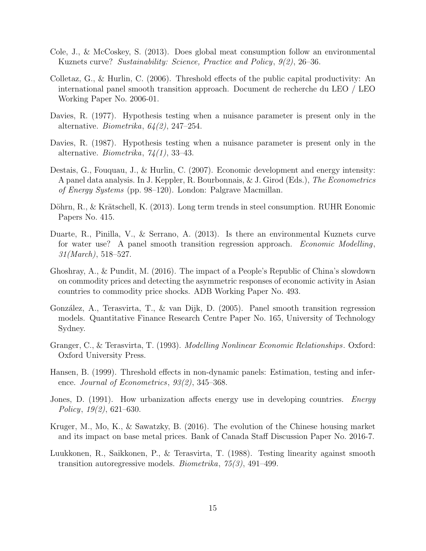- Cole, J., & McCoskey, S. (2013). Does global meat consumption follow an environmental Kuznets curve? Sustainability: Science, Practice and Policy, 9(2), 26–36.
- Colletaz, G., & Hurlin, C. (2006). Threshold effects of the public capital productivity: An international panel smooth transition approach. Document de recherche du LEO / LEO Working Paper No. 2006-01.
- Davies, R. (1977). Hypothesis testing when a nuisance parameter is present only in the alternative. *Biometrika*,  $64(2)$ , 247–254.
- Davies, R. (1987). Hypothesis testing when a nuisance parameter is present only in the alternative. *Biometrika*,  $74(1)$ , 33-43.
- Destais, G., Fouquau, J., & Hurlin, C. (2007). Economic development and energy intensity: A panel data analysis. In J. Keppler, R. Bourbonnais, & J. Girod (Eds.), The Econometrics of Energy Systems (pp. 98–120). London: Palgrave Macmillan.
- Döhrn, R., & Krätschell, K. (2013). Long term trends in steel consumption. RUHR Eonomic Papers No. 415.
- Duarte, R., Pinilla, V., & Serrano, A. (2013). Is there an environmental Kuznets curve for water use? A panel smooth transition regression approach. Economic Modelling, 31(March), 518–527.
- Ghoshray, A., & Pundit, M. (2016). The impact of a People's Republic of China's slowdown on commodity prices and detecting the asymmetric responses of economic activity in Asian countries to commodity price shocks. ADB Working Paper No. 493.
- González, A., Terasvirta, T., & van Dijk, D. (2005). Panel smooth transition regression models. Quantitative Finance Research Centre Paper No. 165, University of Technology Sydney.
- Granger, C., & Terasvirta, T. (1993). Modelling Nonlinear Economic Relationships. Oxford: Oxford University Press.
- Hansen, B. (1999). Threshold effects in non-dynamic panels: Estimation, testing and inference. Journal of Econometrics, 93(2), 345–368.
- Jones, D. (1991). How urbanization affects energy use in developing countries. *Energy* Policy, 19(2), 621–630.
- Kruger, M., Mo, K., & Sawatzky, B. (2016). The evolution of the Chinese housing market and its impact on base metal prices. Bank of Canada Staff Discussion Paper No. 2016-7.
- Luukkonen, R., Saikkonen, P., & Terasvirta, T. (1988). Testing linearity against smooth transition autoregressive models. Biometrika, 75(3), 491–499.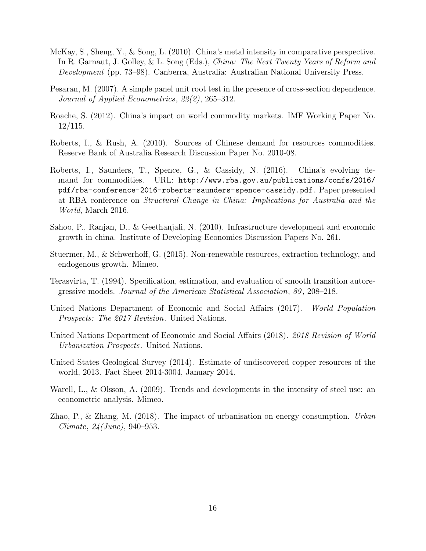- McKay, S., Sheng, Y., & Song, L. (2010). China's metal intensity in comparative perspective. In R. Garnaut, J. Golley, & L. Song (Eds.), *China: The Next Twenty Years of Reform and* Development (pp. 73–98). Canberra, Australia: Australian National University Press.
- Pesaran, M. (2007). A simple panel unit root test in the presence of cross-section dependence. Journal of Applied Econometrics, 22(2), 265–312.
- Roache, S. (2012). China's impact on world commodity markets. IMF Working Paper No. 12/115.
- Roberts, I., & Rush, A. (2010). Sources of Chinese demand for resources commodities. Reserve Bank of Australia Research Discussion Paper No. 2010-08.
- Roberts, I., Saunders, T., Spence, G., & Cassidy, N. (2016). China's evolving demand for commodities. URL: http://www.rba.gov.au/publications/confs/2016/ pdf/rba-conference-2016-roberts-saunders-spence-cassidy.pdf. Paper presented at RBA conference on Structural Change in China: Implications for Australia and the World, March 2016.
- Sahoo, P., Ranjan, D., & Geethanjali, N. (2010). Infrastructure development and economic growth in china. Institute of Developing Economies Discussion Papers No. 261.
- Stuermer, M., & Schwerhoff, G. (2015). Non-renewable resources, extraction technology, and endogenous growth. Mimeo.
- Terasvirta, T. (1994). Specification, estimation, and evaluation of smooth transition autoregressive models. Journal of the American Statistical Association, 89 , 208–218.
- United Nations Department of Economic and Social Affairs (2017). World Population Prospects: The 2017 Revision. United Nations.
- United Nations Department of Economic and Social Affairs (2018). 2018 Revision of World Urbanization Prospects. United Nations.
- United States Geological Survey (2014). Estimate of undiscovered copper resources of the world, 2013. Fact Sheet 2014-3004, January 2014.
- Warell, L., & Olsson, A. (2009). Trends and developments in the intensity of steel use: an econometric analysis. Mimeo.
- Zhao, P., & Zhang, M. (2018). The impact of urbanisation on energy consumption. Urban Climate, 24(June), 940–953.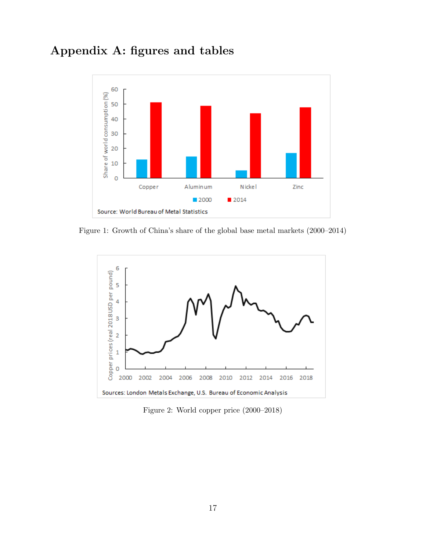# Appendix A: figures and tables



Figure 1: Growth of China's share of the global base metal markets (2000–2014)



Figure 2: World copper price (2000–2018)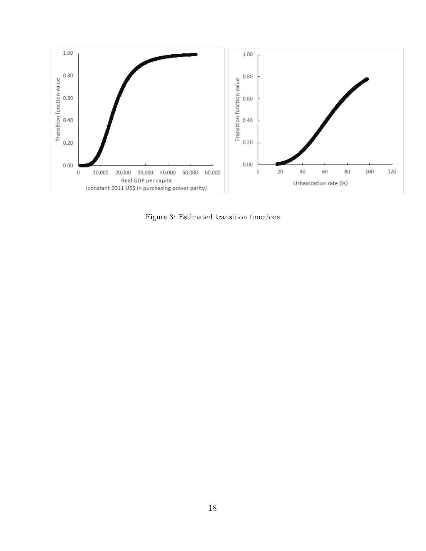

Figure 3: Estimated transition functions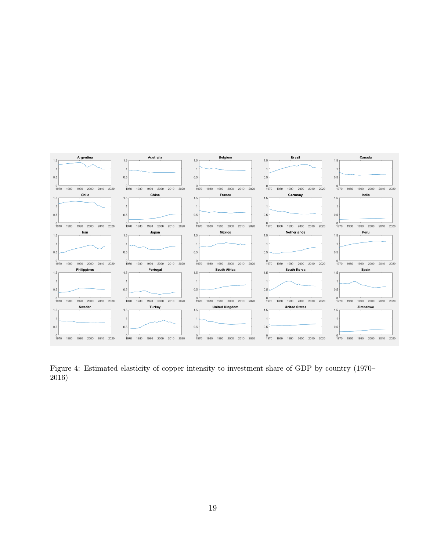

Figure 4: Estimated elasticity of copper intensity to investment share of GDP by country (1970– 2016)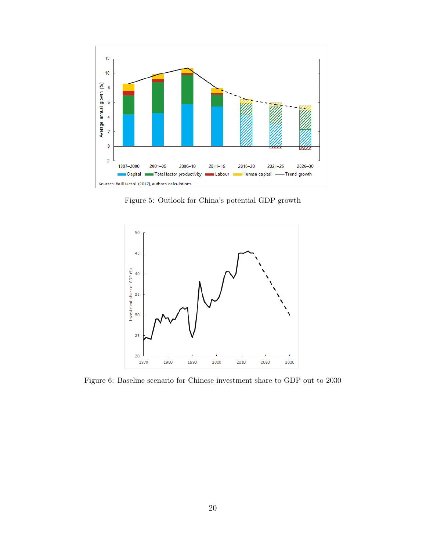

Figure 5: Outlook for China's potential GDP growth



Figure 6: Baseline scenario for Chinese investment share to GDP out to 2030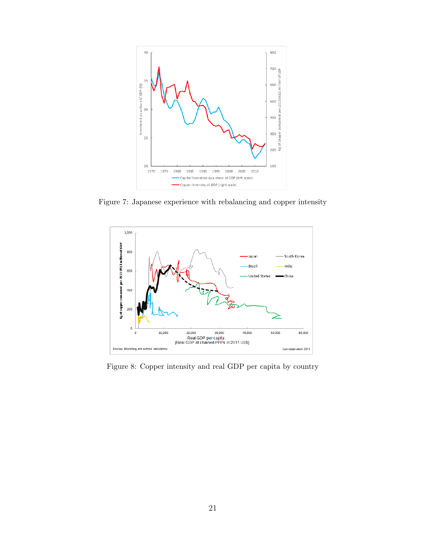

Figure 7: Japanese experience with rebalancing and copper intensity



Figure 8: Copper intensity and real GDP per capita by country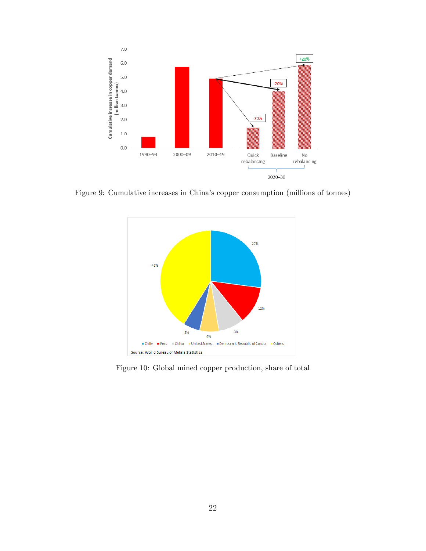

Figure 9: Cumulative increases in China's copper consumption (millions of tonnes)



Figure 10: Global mined copper production, share of total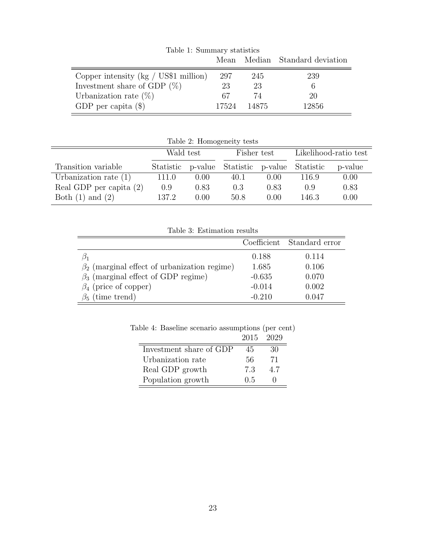|                                                 |       |       | Mean Median Standard deviation |
|-------------------------------------------------|-------|-------|--------------------------------|
| Copper intensity ( $\text{kg}$ / US\$1 million) | 297   | 245   | 239                            |
| Investment share of GDP $(\%)$                  | 23    | 23    |                                |
| Urbanization rate $(\%)$                        | 67    | 74    | 20                             |
| GDP per capita $(\$)$                           | 17524 | 14875 | 12856                          |

Table 1: Summary statistics

| Table 2: Homogeneity tests |           |      |                                     |                |       |                       |
|----------------------------|-----------|------|-------------------------------------|----------------|-------|-----------------------|
|                            | Wald test |      | Fisher test                         |                |       | Likelihood-ratio test |
| Transition variable        | Statistic |      | p-value Statistic p-value Statistic |                |       | p-value               |
| Urbanization rate $(1)$    | 111.0     | 0.00 | 40.1                                | $0.00^{\circ}$ | 116.9 | 0.00                  |
| Real GDP per capita $(2)$  | 0.9       | 0.83 | 0.3                                 | 0.83           | 0.9   | 0.83                  |
| Both $(1)$ and $(2)$       | 137.2     | 0.00 | 50.8                                | 0.00           | 146.3 | 0.00                  |

Table 3: Estimation results

|                                                    |          | Coefficient Standard error |  |
|----------------------------------------------------|----------|----------------------------|--|
|                                                    | 0.188    | 0.114                      |  |
| $\beta_2$ (marginal effect of urbanization regime) | 1.685    | 0.106                      |  |
| $\beta_3$ (marginal effect of GDP regime)          | $-0.635$ | 0.070                      |  |
| $\beta_4$ (price of copper)                        | $-0.014$ | 0.002                      |  |
| $\beta_5$ (time trend)                             | $-0.210$ | 0.047                      |  |

|                         |     | 2015 2029 |
|-------------------------|-----|-----------|
| Investment share of GDP | 45  | 30        |
| Urbanization rate       | 56  | 71        |
| Real GDP growth         | 73  | 47        |
| Population growth       | 0.5 |           |

Table 4: Baseline scenario assumptions (per cent)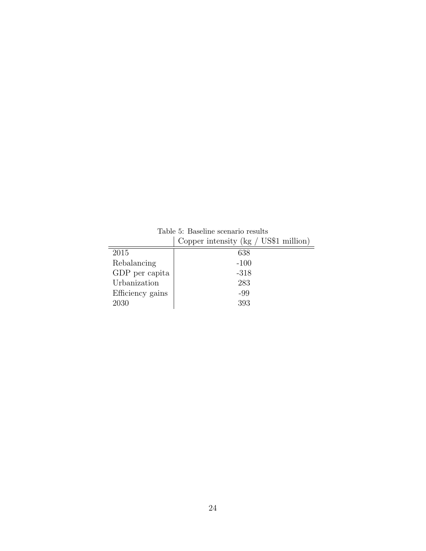|                  | Copper intensity ( $kg / US$1$ million) |
|------------------|-----------------------------------------|
| 2015             | 638                                     |
| Rebalancing      | $-100$                                  |
| GDP per capita   | $-318$                                  |
| Urbanization     | 283                                     |
| Efficiency gains | -99                                     |
| 2030             | 393                                     |

Table 5: Baseline scenario results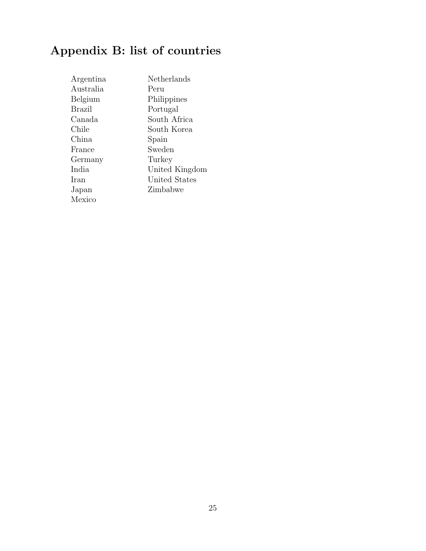# Appendix B: list of countries

| Argentina | Netherlands    |
|-----------|----------------|
| Australia | Peru           |
| Belgium   | Philippines    |
| Brazil    | Portugal       |
| Canada    | South Africa   |
| Chile     | South Korea    |
| China     | Spain          |
| France    | Sweden         |
| Germany   | Turkey         |
| India     | United Kingdom |
| Iran      | United States  |
| Japan     | Zimbabwe       |
| Mexico    |                |